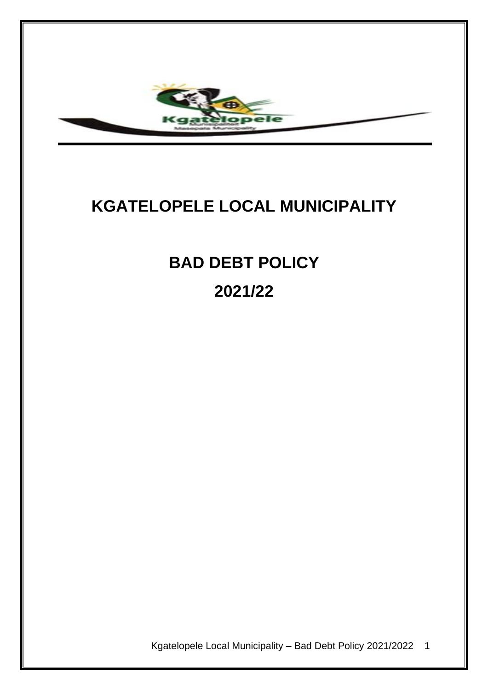

# **KGATELOPELE LOCAL MUNICIPALITY**

**BAD DEBT POLICY 2021/22**

Kgatelopele Local Municipality – Bad Debt Policy 2021/2022 1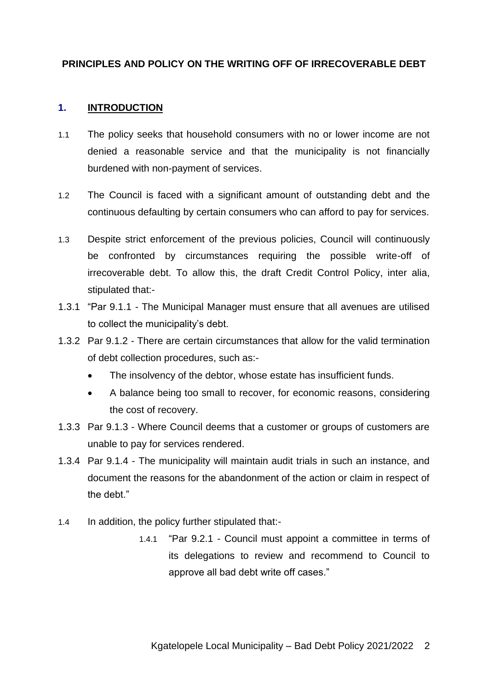#### **PRINCIPLES AND POLICY ON THE WRITING OFF OF IRRECOVERABLE DEBT**

#### **1. INTRODUCTION**

- 1.1 The policy seeks that household consumers with no or lower income are not denied a reasonable service and that the municipality is not financially burdened with non-payment of services.
- 1.2 The Council is faced with a significant amount of outstanding debt and the continuous defaulting by certain consumers who can afford to pay for services.
- 1.3 Despite strict enforcement of the previous policies, Council will continuously be confronted by circumstances requiring the possible write-off of irrecoverable debt. To allow this, the draft Credit Control Policy, inter alia, stipulated that:-
- 1.3.1 "Par 9.1.1 The Municipal Manager must ensure that all avenues are utilised to collect the municipality's debt.
- 1.3.2 Par 9.1.2 There are certain circumstances that allow for the valid termination of debt collection procedures, such as:-
	- The insolvency of the debtor, whose estate has insufficient funds.
	- A balance being too small to recover, for economic reasons, considering the cost of recovery.
- 1.3.3 Par 9.1.3 Where Council deems that a customer or groups of customers are unable to pay for services rendered.
- 1.3.4 Par 9.1.4 The municipality will maintain audit trials in such an instance, and document the reasons for the abandonment of the action or claim in respect of the debt."
- 1.4 In addition, the policy further stipulated that:-
	- 1.4.1 "Par 9.2.1 Council must appoint a committee in terms of its delegations to review and recommend to Council to approve all bad debt write off cases."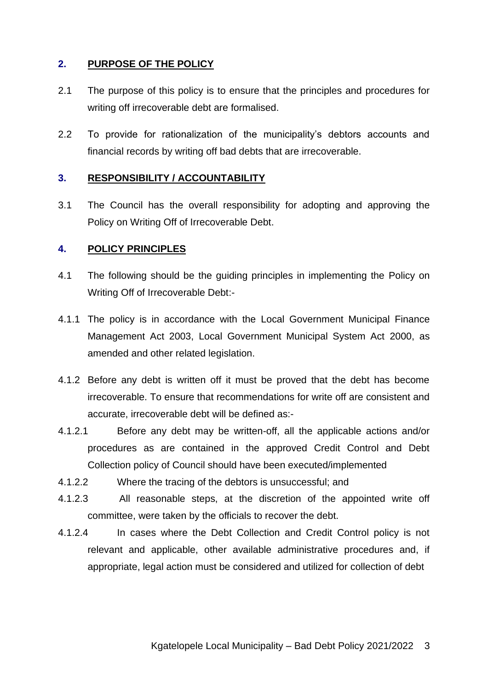## **2. PURPOSE OF THE POLICY**

- 2.1 The purpose of this policy is to ensure that the principles and procedures for writing off irrecoverable debt are formalised.
- 2.2 To provide for rationalization of the municipality's debtors accounts and financial records by writing off bad debts that are irrecoverable.

#### **3. RESPONSIBILITY / ACCOUNTABILITY**

3.1 The Council has the overall responsibility for adopting and approving the Policy on Writing Off of Irrecoverable Debt.

#### **4. POLICY PRINCIPLES**

- 4.1 The following should be the guiding principles in implementing the Policy on Writing Off of Irrecoverable Debt:-
- 4.1.1 The policy is in accordance with the Local Government Municipal Finance Management Act 2003, Local Government Municipal System Act 2000, as amended and other related legislation.
- 4.1.2 Before any debt is written off it must be proved that the debt has become irrecoverable. To ensure that recommendations for write off are consistent and accurate, irrecoverable debt will be defined as:-
- 4.1.2.1 Before any debt may be written-off, all the applicable actions and/or procedures as are contained in the approved Credit Control and Debt Collection policy of Council should have been executed/implemented
- 4.1.2.2 Where the tracing of the debtors is unsuccessful; and
- 4.1.2.3 All reasonable steps, at the discretion of the appointed write off committee, were taken by the officials to recover the debt.
- 4.1.2.4 In cases where the Debt Collection and Credit Control policy is not relevant and applicable, other available administrative procedures and, if appropriate, legal action must be considered and utilized for collection of debt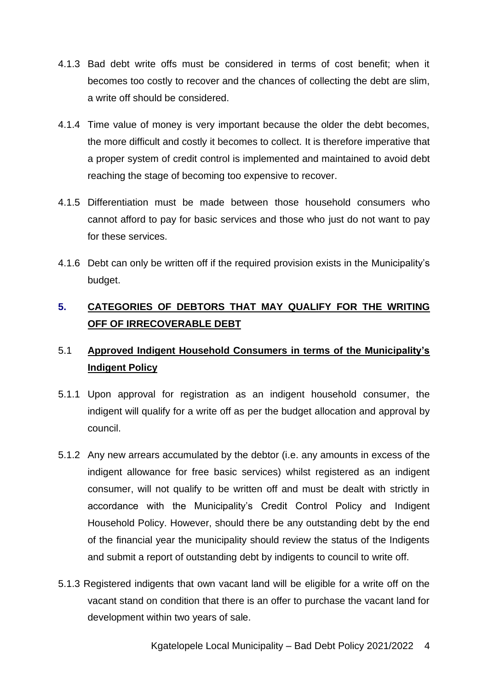- 4.1.3 Bad debt write offs must be considered in terms of cost benefit; when it becomes too costly to recover and the chances of collecting the debt are slim, a write off should be considered.
- 4.1.4 Time value of money is very important because the older the debt becomes, the more difficult and costly it becomes to collect. It is therefore imperative that a proper system of credit control is implemented and maintained to avoid debt reaching the stage of becoming too expensive to recover.
- 4.1.5 Differentiation must be made between those household consumers who cannot afford to pay for basic services and those who just do not want to pay for these services.
- 4.1.6 Debt can only be written off if the required provision exists in the Municipality's budget.

# **5. CATEGORIES OF DEBTORS THAT MAY QUALIFY FOR THE WRITING OFF OF IRRECOVERABLE DEBT**

# 5.1 **Approved Indigent Household Consumers in terms of the Municipality's Indigent Policy**

- 5.1.1 Upon approval for registration as an indigent household consumer, the indigent will qualify for a write off as per the budget allocation and approval by council.
- 5.1.2 Any new arrears accumulated by the debtor (i.e. any amounts in excess of the indigent allowance for free basic services) whilst registered as an indigent consumer, will not qualify to be written off and must be dealt with strictly in accordance with the Municipality's Credit Control Policy and Indigent Household Policy. However, should there be any outstanding debt by the end of the financial year the municipality should review the status of the Indigents and submit a report of outstanding debt by indigents to council to write off.
- 5.1.3 Registered indigents that own vacant land will be eligible for a write off on the vacant stand on condition that there is an offer to purchase the vacant land for development within two years of sale.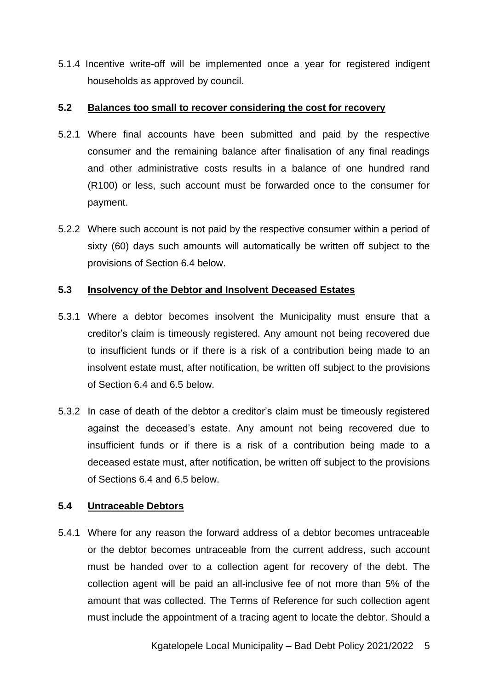5.1.4 Incentive write-off will be implemented once a year for registered indigent households as approved by council.

#### **5.2 Balances too small to recover considering the cost for recovery**

- 5.2.1 Where final accounts have been submitted and paid by the respective consumer and the remaining balance after finalisation of any final readings and other administrative costs results in a balance of one hundred rand (R100) or less, such account must be forwarded once to the consumer for payment.
- 5.2.2 Where such account is not paid by the respective consumer within a period of sixty (60) days such amounts will automatically be written off subject to the provisions of Section 6.4 below.

#### **5.3 Insolvency of the Debtor and Insolvent Deceased Estates**

- 5.3.1 Where a debtor becomes insolvent the Municipality must ensure that a creditor's claim is timeously registered. Any amount not being recovered due to insufficient funds or if there is a risk of a contribution being made to an insolvent estate must, after notification, be written off subject to the provisions of Section 6.4 and 6.5 below.
- 5.3.2 In case of death of the debtor a creditor's claim must be timeously registered against the deceased's estate. Any amount not being recovered due to insufficient funds or if there is a risk of a contribution being made to a deceased estate must, after notification, be written off subject to the provisions of Sections 6.4 and 6.5 below.

#### **5.4 Untraceable Debtors**

5.4.1 Where for any reason the forward address of a debtor becomes untraceable or the debtor becomes untraceable from the current address, such account must be handed over to a collection agent for recovery of the debt. The collection agent will be paid an all-inclusive fee of not more than 5% of the amount that was collected. The Terms of Reference for such collection agent must include the appointment of a tracing agent to locate the debtor. Should a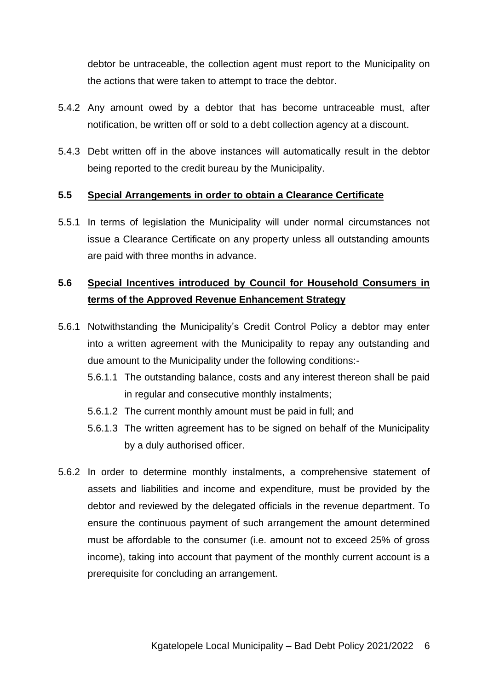debtor be untraceable, the collection agent must report to the Municipality on the actions that were taken to attempt to trace the debtor.

- 5.4.2 Any amount owed by a debtor that has become untraceable must, after notification, be written off or sold to a debt collection agency at a discount.
- 5.4.3 Debt written off in the above instances will automatically result in the debtor being reported to the credit bureau by the Municipality.

#### **5.5 Special Arrangements in order to obtain a Clearance Certificate**

5.5.1 In terms of legislation the Municipality will under normal circumstances not issue a Clearance Certificate on any property unless all outstanding amounts are paid with three months in advance.

## **5.6 Special Incentives introduced by Council for Household Consumers in terms of the Approved Revenue Enhancement Strategy**

- 5.6.1 Notwithstanding the Municipality's Credit Control Policy a debtor may enter into a written agreement with the Municipality to repay any outstanding and due amount to the Municipality under the following conditions:-
	- 5.6.1.1 The outstanding balance, costs and any interest thereon shall be paid in regular and consecutive monthly instalments;
	- 5.6.1.2 The current monthly amount must be paid in full; and
	- 5.6.1.3 The written agreement has to be signed on behalf of the Municipality by a duly authorised officer.
- 5.6.2 In order to determine monthly instalments, a comprehensive statement of assets and liabilities and income and expenditure, must be provided by the debtor and reviewed by the delegated officials in the revenue department. To ensure the continuous payment of such arrangement the amount determined must be affordable to the consumer (i.e. amount not to exceed 25% of gross income), taking into account that payment of the monthly current account is a prerequisite for concluding an arrangement.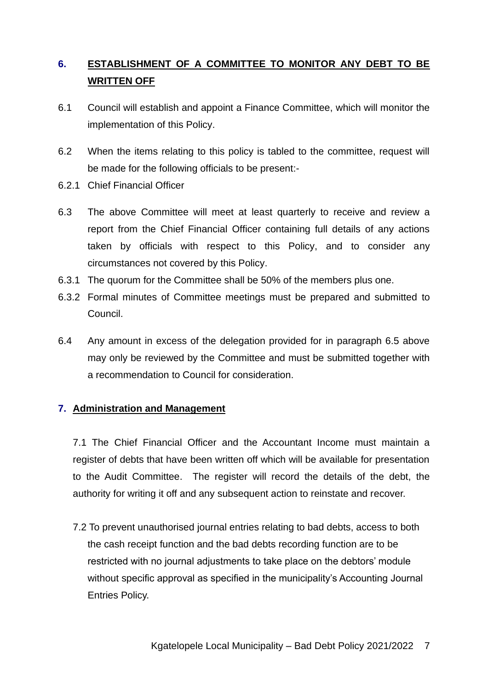# **6. ESTABLISHMENT OF A COMMITTEE TO MONITOR ANY DEBT TO BE WRITTEN OFF**

- 6.1 Council will establish and appoint a Finance Committee, which will monitor the implementation of this Policy.
- 6.2 When the items relating to this policy is tabled to the committee, request will be made for the following officials to be present:-
- 6.2.1 Chief Financial Officer
- 6.3 The above Committee will meet at least quarterly to receive and review a report from the Chief Financial Officer containing full details of any actions taken by officials with respect to this Policy, and to consider any circumstances not covered by this Policy.
- 6.3.1 The quorum for the Committee shall be 50% of the members plus one.
- 6.3.2 Formal minutes of Committee meetings must be prepared and submitted to Council.
- 6.4 Any amount in excess of the delegation provided for in paragraph 6.5 above may only be reviewed by the Committee and must be submitted together with a recommendation to Council for consideration.

#### **7. Administration and Management**

7.1 The Chief Financial Officer and the Accountant Income must maintain a register of debts that have been written off which will be available for presentation to the Audit Committee. The register will record the details of the debt, the authority for writing it off and any subsequent action to reinstate and recover.

7.2 To prevent unauthorised journal entries relating to bad debts, access to both the cash receipt function and the bad debts recording function are to be restricted with no journal adjustments to take place on the debtors' module without specific approval as specified in the municipality's Accounting Journal Entries Policy.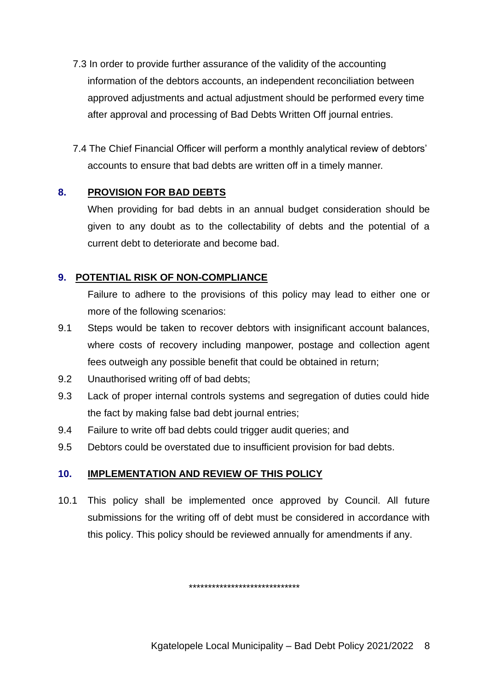- 7.3 In order to provide further assurance of the validity of the accounting information of the debtors accounts, an independent reconciliation between approved adjustments and actual adjustment should be performed every time after approval and processing of Bad Debts Written Off journal entries.
- 7.4 The Chief Financial Officer will perform a monthly analytical review of debtors' accounts to ensure that bad debts are written off in a timely manner.

## **8. PROVISION FOR BAD DEBTS**

When providing for bad debts in an annual budget consideration should be given to any doubt as to the collectability of debts and the potential of a current debt to deteriorate and become bad.

## **9. POTENTIAL RISK OF NON-COMPLIANCE**

Failure to adhere to the provisions of this policy may lead to either one or more of the following scenarios:

- 9.1 Steps would be taken to recover debtors with insignificant account balances, where costs of recovery including manpower, postage and collection agent fees outweigh any possible benefit that could be obtained in return;
- 9.2 Unauthorised writing off of bad debts;
- 9.3 Lack of proper internal controls systems and segregation of duties could hide the fact by making false bad debt journal entries;
- 9.4 Failure to write off bad debts could trigger audit queries; and
- 9.5 Debtors could be overstated due to insufficient provision for bad debts.

#### **10. IMPLEMENTATION AND REVIEW OF THIS POLICY**

10.1 This policy shall be implemented once approved by Council. All future submissions for the writing off of debt must be considered in accordance with this policy. This policy should be reviewed annually for amendments if any.

*\*\*\*\*\*\*\*\*\*\*\*\*\*\*\*\*\*\*\*\*\*\*\*\*\*\*\*\*\**